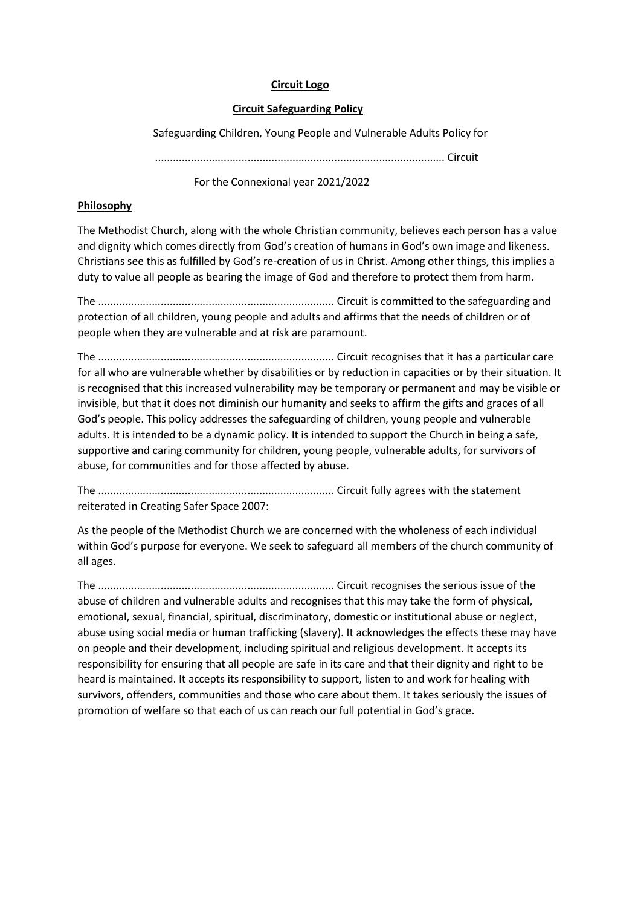#### Circuit Logo

#### Circuit Safeguarding Policy

Safeguarding Children, Young People and Vulnerable Adults Policy for

................................................................................................. Circuit

For the Connexional year 2021/2022

## Philosophy

The Methodist Church, along with the whole Christian community, believes each person has a value and dignity which comes directly from God's creation of humans in God's own image and likeness. Christians see this as fulfilled by God's re-creation of us in Christ. Among other things, this implies a duty to value all people as bearing the image of God and therefore to protect them from harm.

The ............................................................................... Circuit is committed to the safeguarding and protection of all children, young people and adults and affirms that the needs of children or of people when they are vulnerable and at risk are paramount.

The ............................................................................... Circuit recognises that it has a particular care for all who are vulnerable whether by disabilities or by reduction in capacities or by their situation. It is recognised that this increased vulnerability may be temporary or permanent and may be visible or invisible, but that it does not diminish our humanity and seeks to affirm the gifts and graces of all God's people. This policy addresses the safeguarding of children, young people and vulnerable adults. It is intended to be a dynamic policy. It is intended to support the Church in being a safe, supportive and caring community for children, young people, vulnerable adults, for survivors of abuse, for communities and for those affected by abuse.

The ............................................................................... Circuit fully agrees with the statement reiterated in Creating Safer Space 2007:

As the people of the Methodist Church we are concerned with the wholeness of each individual within God's purpose for everyone. We seek to safeguard all members of the church community of all ages.

The ............................................................................... Circuit recognises the serious issue of the abuse of children and vulnerable adults and recognises that this may take the form of physical, emotional, sexual, financial, spiritual, discriminatory, domestic or institutional abuse or neglect, abuse using social media or human trafficking (slavery). It acknowledges the effects these may have on people and their development, including spiritual and religious development. It accepts its responsibility for ensuring that all people are safe in its care and that their dignity and right to be heard is maintained. It accepts its responsibility to support, listen to and work for healing with survivors, offenders, communities and those who care about them. It takes seriously the issues of promotion of welfare so that each of us can reach our full potential in God's grace.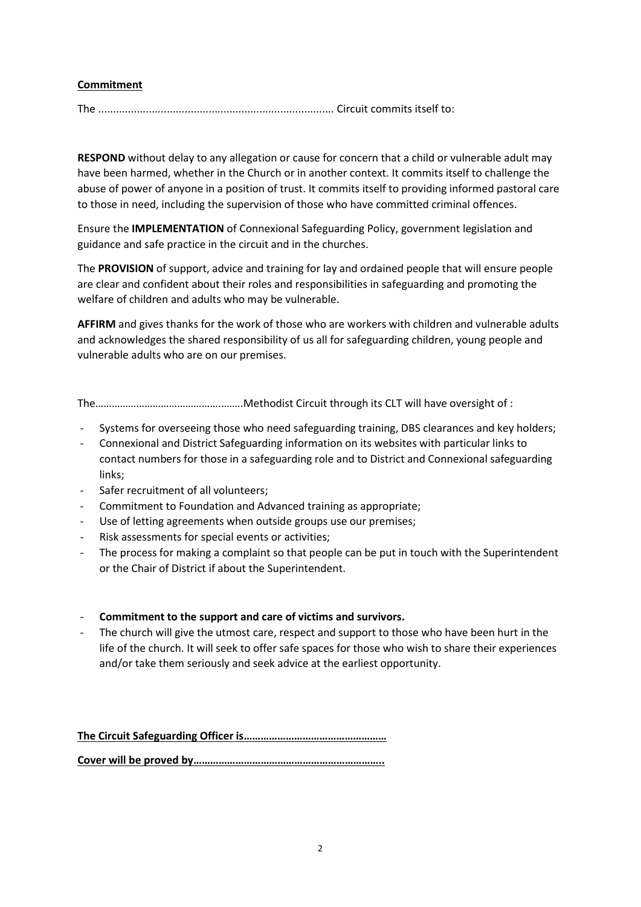## Commitment

The ............................................................................... Circuit commits itself to:

RESPOND without delay to any allegation or cause for concern that a child or vulnerable adult may have been harmed, whether in the Church or in another context. It commits itself to challenge the abuse of power of anyone in a position of trust. It commits itself to providing informed pastoral care to those in need, including the supervision of those who have committed criminal offences.

Ensure the IMPLEMENTATION of Connexional Safeguarding Policy, government legislation and guidance and safe practice in the circuit and in the churches.

The PROVISION of support, advice and training for lay and ordained people that will ensure people are clear and confident about their roles and responsibilities in safeguarding and promoting the welfare of children and adults who may be vulnerable.

AFFIRM and gives thanks for the work of those who are workers with children and vulnerable adults and acknowledges the shared responsibility of us all for safeguarding children, young people and vulnerable adults who are on our premises.

The………………………………………..…….Methodist Circuit through its CLT will have oversight of :

- Systems for overseeing those who need safeguarding training, DBS clearances and key holders;
- Connexional and District Safeguarding information on its websites with particular links to contact numbers for those in a safeguarding role and to District and Connexional safeguarding links;
- Safer recruitment of all volunteers;
- Commitment to Foundation and Advanced training as appropriate;
- Use of letting agreements when outside groups use our premises;
- Risk assessments for special events or activities;
- The process for making a complaint so that people can be put in touch with the Superintendent or the Chair of District if about the Superintendent.
- Commitment to the support and care of victims and survivors.
- The church will give the utmost care, respect and support to those who have been hurt in the life of the church. It will seek to offer safe spaces for those who wish to share their experiences and/or take them seriously and seek advice at the earliest opportunity.

The Circuit Safeguarding Officer is…………………………………………… Cover will be proved by…………………………………………………………..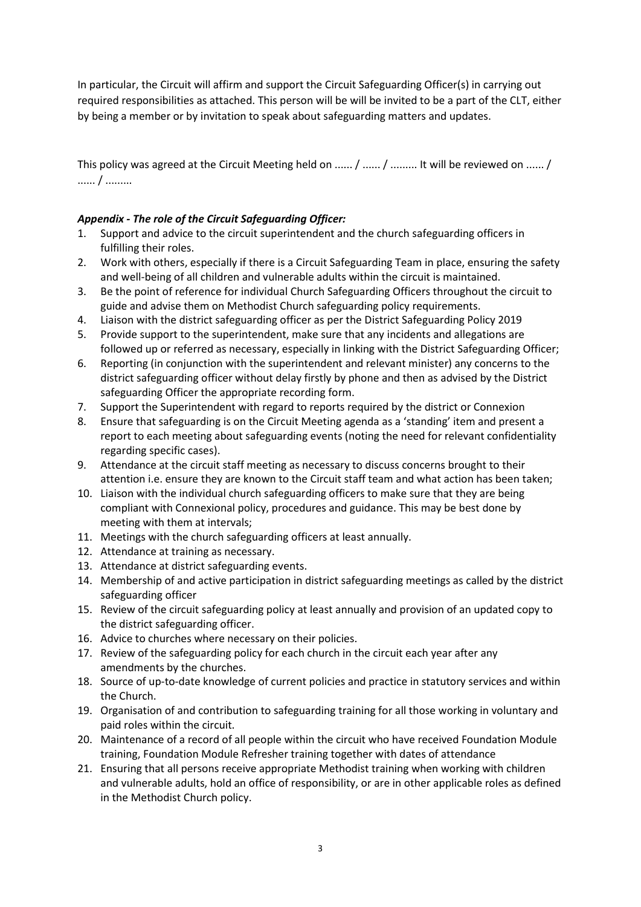In particular, the Circuit will affirm and support the Circuit Safeguarding Officer(s) in carrying out required responsibilities as attached. This person will be will be invited to be a part of the CLT, either by being a member or by invitation to speak about safeguarding matters and updates.

This policy was agreed at the Circuit Meeting held on ...... / ...... / ......... It will be reviewed on ...... / ...... / .........

# Appendix - The role of the Circuit Safeguarding Officer:

- 1. Support and advice to the circuit superintendent and the church safeguarding officers in fulfilling their roles.
- 2. Work with others, especially if there is a Circuit Safeguarding Team in place, ensuring the safety and well-being of all children and vulnerable adults within the circuit is maintained.
- 3. Be the point of reference for individual Church Safeguarding Officers throughout the circuit to guide and advise them on Methodist Church safeguarding policy requirements.
- 4. Liaison with the district safeguarding officer as per the District Safeguarding Policy 2019
- 5. Provide support to the superintendent, make sure that any incidents and allegations are followed up or referred as necessary, especially in linking with the District Safeguarding Officer;
- 6. Reporting (in conjunction with the superintendent and relevant minister) any concerns to the district safeguarding officer without delay firstly by phone and then as advised by the District safeguarding Officer the appropriate recording form.
- 7. Support the Superintendent with regard to reports required by the district or Connexion
- 8. Ensure that safeguarding is on the Circuit Meeting agenda as a 'standing' item and present a report to each meeting about safeguarding events (noting the need for relevant confidentiality regarding specific cases).
- 9. Attendance at the circuit staff meeting as necessary to discuss concerns brought to their attention i.e. ensure they are known to the Circuit staff team and what action has been taken;
- 10. Liaison with the individual church safeguarding officers to make sure that they are being compliant with Connexional policy, procedures and guidance. This may be best done by meeting with them at intervals;
- 11. Meetings with the church safeguarding officers at least annually.
- 12. Attendance at training as necessary.
- 13. Attendance at district safeguarding events.
- 14. Membership of and active participation in district safeguarding meetings as called by the district safeguarding officer
- 15. Review of the circuit safeguarding policy at least annually and provision of an updated copy to the district safeguarding officer.
- 16. Advice to churches where necessary on their policies.
- 17. Review of the safeguarding policy for each church in the circuit each year after any amendments by the churches.
- 18. Source of up-to-date knowledge of current policies and practice in statutory services and within the Church.
- 19. Organisation of and contribution to safeguarding training for all those working in voluntary and paid roles within the circuit.
- 20. Maintenance of a record of all people within the circuit who have received Foundation Module training, Foundation Module Refresher training together with dates of attendance
- 21. Ensuring that all persons receive appropriate Methodist training when working with children and vulnerable adults, hold an office of responsibility, or are in other applicable roles as defined in the Methodist Church policy.